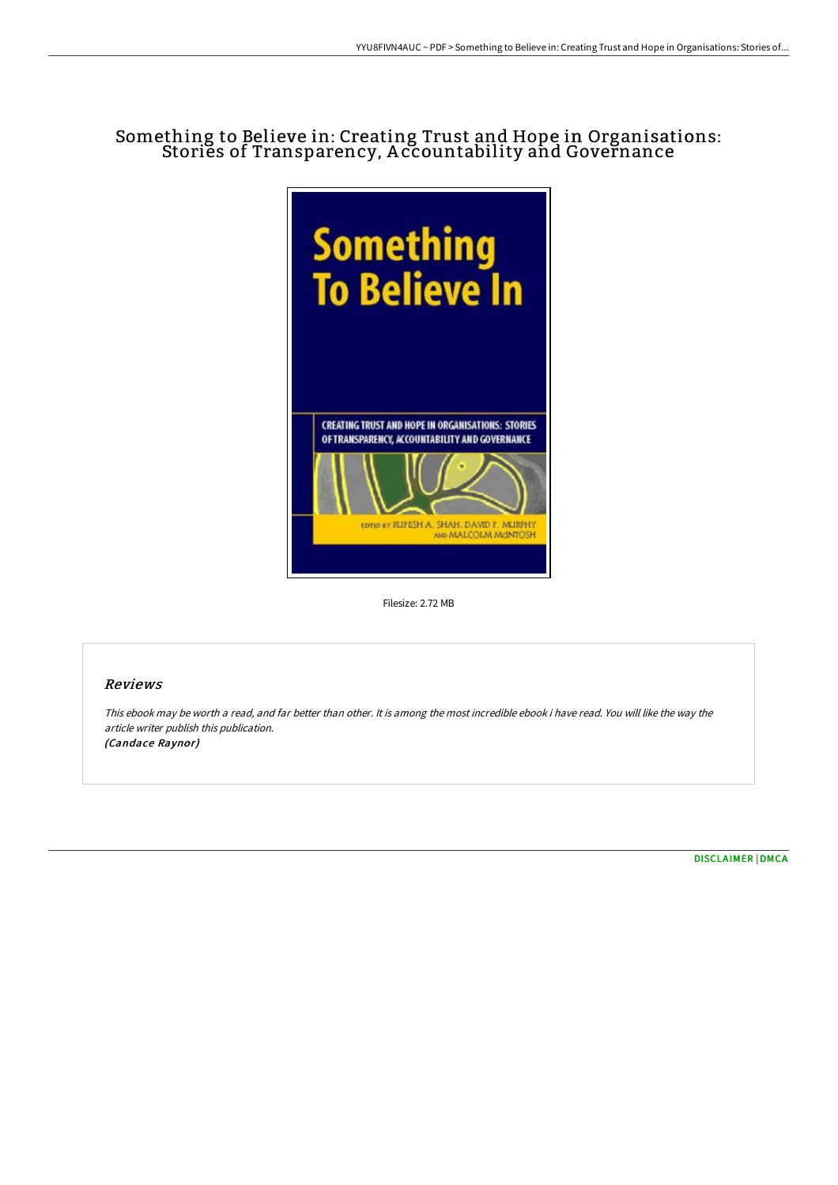## Something to Believe in: Creating Trust and Hope in Organisations: Stories of Transparency, A ccountability and Governance



Filesize: 2.72 MB

## Reviews

This ebook may be worth <sup>a</sup> read, and far better than other. It is among the most incredible ebook i have read. You will like the way the article writer publish this publication. (Candace Raynor)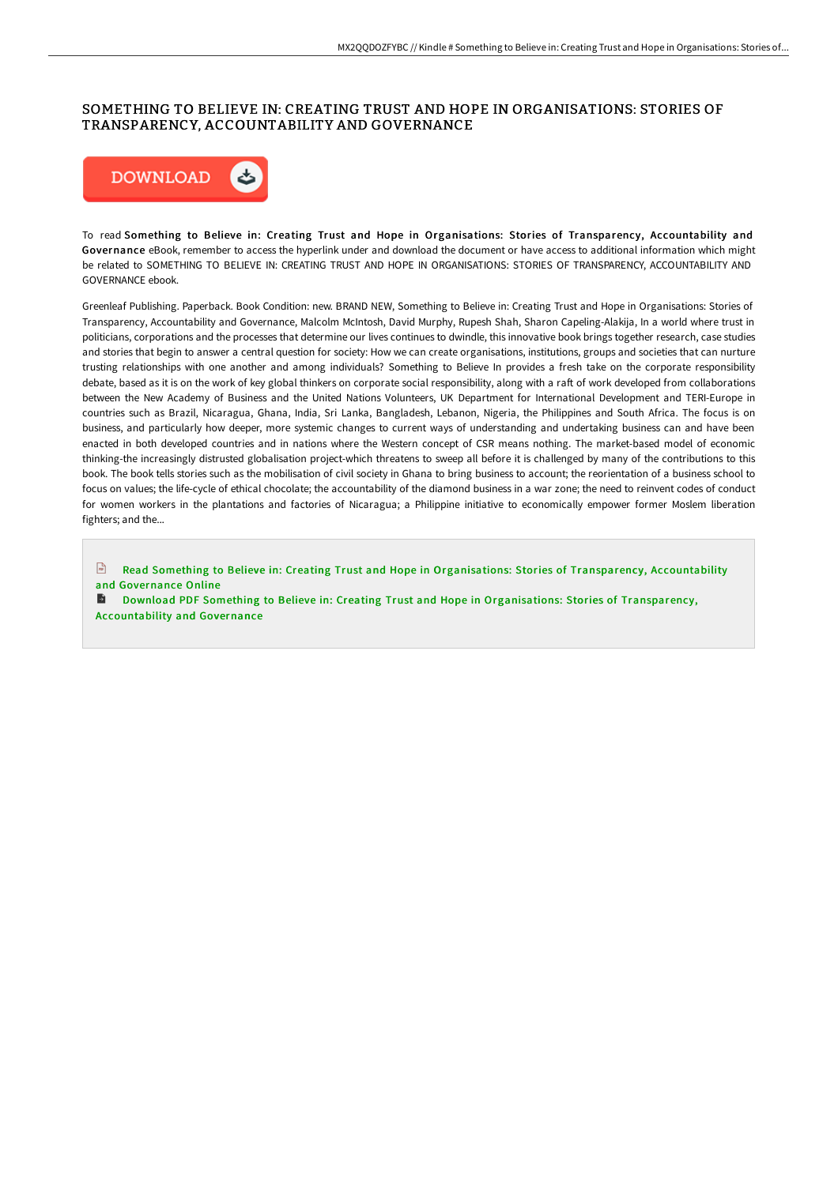## SOMETHING TO BELIEVE IN: CREATING TRUST AND HOPE IN ORGANISATIONS: STORIES OF TRANSPARENCY, ACCOUNTABILITY AND GOVERNANCE



To read Something to Believe in: Creating Trust and Hope in Organisations: Stories of Transparency, Accountability and Governance eBook, remember to access the hyperlink under and download the document or have access to additional information which might be related to SOMETHING TO BELIEVE IN: CREATING TRUST AND HOPE IN ORGANISATIONS: STORIES OF TRANSPARENCY, ACCOUNTABILITY AND GOVERNANCE ebook.

Greenleaf Publishing. Paperback. Book Condition: new. BRAND NEW, Something to Believe in: Creating Trust and Hope in Organisations: Stories of Transparency, Accountability and Governance, Malcolm McIntosh, David Murphy, Rupesh Shah, Sharon Capeling-Alakija, In a world where trust in politicians, corporations and the processes that determine our lives continues to dwindle, this innovative book brings together research, case studies and stories that begin to answer a central question for society: How we can create organisations, institutions, groups and societies that can nurture trusting relationships with one another and among individuals? Something to Believe In provides a fresh take on the corporate responsibility debate, based as it is on the work of key global thinkers on corporate social responsibility, along with a raft of work developed from collaborations between the New Academy of Business and the United Nations Volunteers, UK Department for International Development and TERI-Europe in countries such as Brazil, Nicaragua, Ghana, India, Sri Lanka, Bangladesh, Lebanon, Nigeria, the Philippines and South Africa. The focus is on business, and particularly how deeper, more systemic changes to current ways of understanding and undertaking business can and have been enacted in both developed countries and in nations where the Western concept of CSR means nothing. The market-based model of economic thinking-the increasingly distrusted globalisation project-which threatens to sweep all before it is challenged by many of the contributions to this book. The book tells stories such as the mobilisation of civil society in Ghana to bring business to account; the reorientation of a business school to focus on values; the life-cycle of ethical chocolate; the accountability of the diamond business in a war zone; the need to reinvent codes of conduct for women workers in the plantations and factories of Nicaragua; a Philippine initiative to economically empower former Moslem liberation fighters: and the...

Read Something to Believe in: Creating Trust and Hope in [Organisations:](http://techno-pub.tech/something-to-believe-in-creating-trust-and-hope-.html) Stories of Transparency, Accountability and Governance Online

Download PDF Something to Believe in: Creating Trust and Hope in [Organisations:](http://techno-pub.tech/something-to-believe-in-creating-trust-and-hope-.html) Stories of Transparency, Accountability and Governance